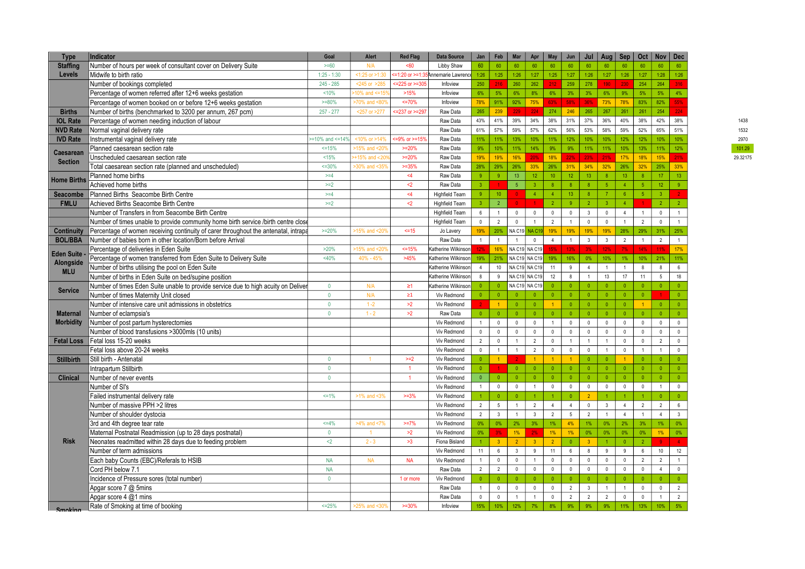| <b>Type</b>                           | Indicator                                                                           | Goal                    | Alert                         | <b>Red Flag</b>         | <b>Data Source</b>    | Jan            | Feb             | Mar            | Apr             | May            | Jun                     | Jul              | Aug                  | Sep             | Oct            | <b>Nov</b>      | <b>Dec</b>      |          |
|---------------------------------------|-------------------------------------------------------------------------------------|-------------------------|-------------------------------|-------------------------|-----------------------|----------------|-----------------|----------------|-----------------|----------------|-------------------------|------------------|----------------------|-----------------|----------------|-----------------|-----------------|----------|
| <b>Staffing</b>                       | Number of hours per week of consultant cover on Delivery Suite                      | $>= 60$                 | N/A                           | <60                     | Libby Shaw            | 60             | 60              | 60             | 60              | 60             | 60                      | 60               | 60                   | 60              | 60             | 60              | 60              |          |
| Levels                                | Midwife to birth ratio                                                              | $1:25 - 1:30$           | $< 1:25$ or $> 1:30$          | =1:20 or $> = 1:35$     | SAnnemarie Lawrence   | 1:26           | 1:25            | 1:26           | 1:27            | 1:25           | 1:27                    | 1:26             | 1:27                 | 1:26            | 1:27           | 1:28            | 1:26            |          |
|                                       | Number of bookings completed                                                        | $245 - 285$             | $245$ or $>285$               | $= 225$ or $>= 305$     | Infoview              | 250            |                 | 260            | 262             | 212            | 259                     | 278              | 190                  | 230             | 254            | 264             | 316             |          |
|                                       | Percentage of women referred after 12+6 weeks gestation                             | 10%                     | 10% and $\leq$ =15            | >15%                    | Infoview              | 6%             | 5%              | 6%             | 8%              | 6%             | 3%                      | 3%               | 6%                   | 9%              | 5%             | 5%              | 4%              |          |
|                                       | Percentage of women booked on or before 12+6 weeks gestation                        | $>=80%$                 | 70% and <80                   | $=70%$                  | Infoview              | 78%            | 91%             | 92%            | 75%             | 63%            | 58%                     | 36%              | 73%                  | 78%             | 83%            | 82%             | 55%             |          |
| <b>Births</b>                         | Number of births (benchmarked to 3200 per annum, 267 pcm)                           | $257 - 277$             | <257 or >277                  | $\leq$ 237 or $\geq$ 29 | Raw Data              | 265            | 239             | 229            | 224             | 274            | 246                     | 265              | 267                  | 261             | 261            | 254             | 224             |          |
| <b>IOL Rate</b>                       | Percentage of women needing induction of labour                                     |                         |                               |                         | Raw Data              | 43%            | 41%             | 39%            | 34%             | 38%            | 31%                     | 37%              | 36%                  | 40%             | 38%            | 42%             | 38%             | 1438     |
| <b>NVD Rate</b>                       | Normal vaginal delivery rate                                                        |                         |                               |                         | Raw Data              | 61%            | 57%             | 59%            | 57%             | 62%            | 56%                     | 53%              | 58%                  | 59%             | 52%            | 65%             | 51%             | 1532     |
| <b>IVD Rate</b>                       | nstrumental vaginal delivery rate                                                   | $-10\%$ and $\leq 14\%$ | <10% or >14%                  | $= 9\%$ or $>= 15\%$    | Raw Data              | 11%            | 11%             | 13%            | 10%             | 11%            | 12%                     | 10%              | 10%                  | 12%             | 12%            | 10%             | 10%             | 2970     |
|                                       | Planned caesarean section rate                                                      | $=15%$                  | 15% and <20%                  | $>=20%$                 | Raw Data              | 9%             | 10%             | 11%            | 14%             | 9%             | 9%                      | 11%              | 11%                  | 10%             | 13%            | 11%             | 12%             | 101.29   |
| <b>Caesarean</b><br><b>Section</b>    | Unscheduled caesarean section rate                                                  | <15%                    | +15% and $<$ 20               | $>=20%$                 | Raw Data              | 19%            | 19%             | 16%            | 20%             | 18%            | 22%                     | 23%              | 21%                  | 17%             | 18%            | 15%             | 21%             | 29.32175 |
|                                       | Total caesarean section rate (planned and unscheduled)                              | $=30%$                  | >30% and <35°                 | $>=35%$                 | Raw Data              | 28%            | 29%             | 26%            | 33%             | 26%            | 31%                     | 34%              | 32%                  | 26%             | 32%            | 25%             | 33%             |          |
| <b>Home Births</b>                    | Planned home births                                                                 | $>=4$                   |                               | $\leq 4$                | Raw Data              | 9              | 9               | 13             | 12 <sup>°</sup> | 10             | 12                      | 13 <sup>°</sup>  | 8 <sup>1</sup>       | 13 <sup>°</sup> | 8 <sup>°</sup> | 17 <sup>2</sup> | 13              |          |
|                                       | Achieved home births                                                                | $>=2$                   |                               | $2$                     | Raw Data              | 3 <sup>1</sup> |                 | 5 <sup>1</sup> | $\overline{3}$  | $\mathbf{R}$   | 8                       | 8                | 5 <sub>5</sub>       | $\overline{4}$  | 5 <sup>1</sup> | 12 <sup>°</sup> | 9 <sup>°</sup>  |          |
| Seacombe                              | Planned Births Seacombe Birth Centre                                                | $>= 4$                  |                               | 4<                      | <b>Highfield Team</b> | 9 <sup>°</sup> | 10 <sup>°</sup> | $\Omega$       | $\overline{4}$  | $\overline{4}$ | 13                      | $\mathbf{8}$     | 7 <sup>7</sup>       | 6 <sup>1</sup>  | 5 <sup>1</sup> | 3 <sup>7</sup>  |                 |          |
| <b>FMLU</b>                           | Achieved Births Seacombe Birth Centre                                               | $>=2$                   |                               | $\leq$                  | <b>Highfield Team</b> | 3              | 2 <sup>7</sup>  |                |                 | $\overline{2}$ | $\overline{9}$          | $\overline{2}$   | $\overline{3}$       | $\overline{4}$  |                | 2 <sup>1</sup>  | $\overline{2}$  |          |
|                                       | Number of Transfers in from Seacombe Birth Centre                                   |                         |                               |                         | <b>Highfield Team</b> | $6\phantom{a}$ | $\overline{1}$  | $\mathbb O$    | $\mathbb O$     | $\mathbf 0$    | $\mathbb O$             | $\mathbf{3}$     | $\mathsf 0$          | $\overline{4}$  | $\mathbf{1}$   | $\mathbf 0$     | $\mathbf{1}$    |          |
|                                       | Number of times unable to provide community home birth service /birth centre close  |                         |                               |                         | Highfield Team        | $\mathbf{0}$   | $\overline{2}$  | $\mathbf 0$    | $\overline{1}$  | $\overline{2}$ | $\overline{1}$          | $\mathbf 0$      | $\mathbf{0}$         | $\mathbf{1}$    | $\overline{2}$ | $\mathbf{0}$    | $\mathbf{1}$    |          |
| <b>Continuity</b>                     | Percentage of women receiving continuity of carer throughout the antenatal, intrapa | $>=20%$                 | 15% and <20                   | $5 = 15$                | Jo Lavery             | 19%            | 20%             | NA C19 NA C1   |                 | 19%            | 19%                     | 19%              | 19%                  | 28%             | 29%            | 31%             | 25%             |          |
| <b>BOL/BBA</b>                        | Number of babies born in other location/Born before Arrival                         |                         |                               |                         | Raw Data              | $\overline{1}$ | $\overline{1}$  | $\overline{1}$ | $\mathbf{0}$    | $\overline{4}$ | $\overline{1}$          | $\mathbf{3}$     | $\mathbf{3}$         | $\overline{2}$  | $\overline{1}$ | $\overline{2}$  | $\mathbf{1}$    |          |
| Eden Suite<br>Alongside<br><b>MLU</b> | Percentage of deliveries in Eden Suite                                              | >20%                    | 15% and <20                   | $<=15%$                 | Katherine Wilkinson   | 12%            | 16%             | NA C19 NA C19  |                 | 15%            | 13%                     | 3%               | 12%                  | 7%              | 14%            | 11%             | 17%             |          |
|                                       | Percentage of women transferred from Eden Suite to Delivery Suite                   | <40%                    | 40% - 45%                     | >45%                    | Katherine Wilkinson   | 19%            | 21%             | NA C19 NA C19  |                 | 19%            | 16%                     | $0\%$            | 10%                  | $1\%$           | 10%            | 21%             | 11%             |          |
|                                       | Number of births utilising the pool on Eden Suite                                   |                         |                               |                         | Katherine Wilkinson   | $\overline{4}$ | $10$            | NA C19 NA C19  |                 | 11             | 9                       | $\overline{4}$   | $\mathbf{1}$         | $\mathbf{1}$    | $\bf{8}$       | $\bf{8}$        | $6\phantom{a}$  |          |
|                                       | Number of births in Eden Suite on bed/supine position                               |                         |                               |                         | Katherine Wilkinson   | 8              | 9               | NA C19 NA C19  |                 | 12             | $\boldsymbol{8}$        | $\mathbf{1}$     | 13                   | 17              | 11             | 5               | 18              |          |
| <b>Service</b><br><b>Maternal</b>     | Number of times Eden Suite unable to provide service due to high acuity on Deliver  | $\mathbf 0$             | N/A                           | $\geq 1$                | Katherine Wilkinson   | $\bullet$      |                 |                | NA C19 NA C19   | $\mathbf{0}$   | $\overline{0}$          | $\bullet$        | $\bullet$            | $\bullet$       | $\bullet$      | $\mathbf{0}$    | $\bullet$       |          |
|                                       | Number of times Maternity Unit closed                                               | $\mathbf{0}$            | N/A                           | $\geq1$                 | Viv Redmond           | $\bullet$      | $\mathbf{0}$    | $\Omega$       | $\Omega$        | $\mathbf{0}$   | $\overline{0}$          | $\overline{0}$   | $\mathbf{0}$         | $\bullet$       | $\bullet$      |                 | $\bullet$       |          |
|                                       | Number of intensive care unit admissions in obstetrics                              | $\Omega$                | $1 - 2$                       | >2                      | Viv Redmond           |                | $\overline{1}$  | $\bullet$      | $\mathbf{0}$    | $\overline{1}$ | $\overline{\mathbf{0}}$ | $\bullet$        | $\bullet$            | $\bullet$       | 1              | $\bullet$       | $\mathbf{0}$    |          |
|                                       | Number of eclampsia's                                                               | $\Omega$                | $1 - 2$                       | >2                      | Raw Data              | $\theta$       | $\Omega$        | $\theta$       | $\mathbf{0}$    | $\Omega$       | $\overline{0}$          | $\overline{0}$   | $\mathbf{0}$         | $\mathbf{0}$    | $\mathbf{0}$   |                 | $\Omega$        |          |
| <b>Morbidity</b>                      | Number of post partum hysterectomies                                                |                         |                               |                         | Viv Redmond           | $\mathbf{1}$   | $\Omega$        | $\mathbf{0}$   | $\mathbf 0$     | $\overline{1}$ | $\mathbf{0}$            | $\mathbb O$      | $\mathbf{0}$         | $\mathbf{0}$    | $\mathbf 0$    | $\mathbf{0}$    | $\mathbf{0}$    |          |
|                                       | Number of blood transfusions >3000mls (10 units)                                    |                         |                               |                         | Viv Redmond           | $\mathbf{0}$   | $\Omega$        | $\mathbf{0}$   | $\mathbf{0}$    | $\mathbf{0}$   | $\mathbf{0}$            | $\mathbf{0}$     | $\mathbf{0}$         | $\mathbf{0}$    | $\mathbf{0}$   | $\mathbf{0}$    | $\mathbf{0}$    |          |
| <b>Fetal Loss</b>                     | Fetal loss 15-20 weeks                                                              |                         |                               |                         | Viv Redmond           | $\overline{2}$ | $\Omega$        |                | $\overline{2}$  | $\mathbf 0$    | $\overline{1}$          | $\mathbf{1}$     | $\mathbf{1}$         | $\mathbb O$     | $\mathbb O$    | $\overline{2}$  | $\mathbf 0$     |          |
|                                       | Fetal loss above 20-24 weeks                                                        |                         |                               |                         | Viv Redmond           | $\mathbb O$    | $\overline{1}$  | $\overline{1}$ | $\overline{2}$  | $\mathbf{0}$   | $\mathbb O$             | $\mathbb O$      | $\mathbf{1}$         | $\mathbf{0}$    | $\mathbf{1}$   | $\overline{1}$  | $\mathbf{0}$    |          |
| <b>Stillbirth</b>                     | Still birth - Antenatal                                                             | $\mathbf{0}$            |                               | $>=2$                   | Viv Redmond           | $\theta$       | $\overline{1}$  |                |                 | $\overline{1}$ | $\overline{1}$          | $\overline{0}$   | $\mathbf{0}$         | $\mathbf{1}$    | $\bullet$      | $\mathbf{0}$    | $\mathbf{0}$    |          |
|                                       | Intrapartum Stillbirth                                                              | $\mathbf{0}$            |                               | $\overline{1}$          | Viv Redmond           | $\bullet$      |                 | $\overline{0}$ | $\mathbf{0}$    | $\theta$       | $\overline{0}$          | $\overline{0}$   | $\bullet$            | $\bullet$       | $\bullet$      | $\overline{0}$  | $\bullet$       |          |
| <b>Clinical</b>                       | Number of never events                                                              | $\mathbf{0}$            |                               | $\overline{1}$          | Viv Redmond           | $\mathbf{0}$   | $\overline{0}$  | $\overline{0}$ | $\mathbf{0}$    | $\theta$       | $\overline{0}$          | $\overline{0}$   | $\bullet$            | $\bullet$       | $\bullet$      | $\overline{0}$  | $\bullet$       |          |
|                                       | Number of SI's                                                                      |                         |                               |                         | Viv Redmond           | $\mathbf{1}$   | $\mathbf 0$     | $\mathbb O$    | $\overline{1}$  | $\pmb{0}$      | $\mathbb O$             | $\mathbb O$      | $\mathbf 0$          | $\mathbb O$     | $\mathbb O$    | $\mathbf{1}$    | $\mathbf 0$     |          |
|                                       | Failed instrumental delivery rate                                                   | $=1%$                   | >1% and <3%                   | $>=3%$                  | Viv Redmond           |                | $\Omega$        | $\theta$       |                 |                | $\theta$                | $\overline{2}$   | $\overline{1}$       | 1 <sup>1</sup>  | $\mathbf{1}$   | $\bullet$       | $\mathbf{0}$    |          |
|                                       | Number of massive PPH >2 litres                                                     |                         |                               |                         | Viv Redmond           | $\overline{2}$ | $5\phantom{.0}$ | $\overline{1}$ | $\overline{2}$  | $\overline{4}$ | $\overline{4}$          | $\mathbb O$      | $\mathbf{3}$         | $\overline{4}$  | $\overline{2}$ | $\overline{2}$  | $6\phantom{.0}$ |          |
| <b>Risk</b>                           | Number of shoulder dystocia                                                         |                         |                               |                         | Viv Redmond           | $\overline{2}$ | $\mathbf{3}$    | $\overline{1}$ | $\overline{3}$  | $\overline{2}$ | $5\phantom{.0}$         | $\overline{2}$   | $\overline{1}$       | $\overline{4}$  | $\overline{1}$ | $\overline{4}$  | $\overline{3}$  |          |
|                                       | 3rd and 4th degree tear rate                                                        | $<=4%$                  | $>4\%$ and <7%                | $>=7%$                  | Viv Redmond           | 0%             | 0%              | 2%             | 3%              | 1%             | 4%                      | $1\%$            | $0\%$                | 2%              | 3%             | $1\%$           | $0\%$           |          |
|                                       | Maternal Postnatal Readmission (up to 28 days postnatal)                            | $\mathbf{0}$            | $\overline{1}$                | >2                      | Viv Redmond           | $0\%$          | 3%              | 1%             | 2%              | 1%             | 1%                      | 0%               | 0%                   | 0%              | $0\%$          | $1\%$           | 0%              |          |
|                                       | Neonates readmitted within 28 days due to feeding problem                           | $2$                     | $2 - 3$                       | >3                      | Fiona Bisland         |                | $\mathbf{R}$    | $\overline{2}$ | $\overline{3}$  | $\overline{2}$ | $\overline{0}$          | $\overline{3}$   | $\blacktriangleleft$ | $\bullet$       | 2 <sup>7</sup> |                 |                 |          |
|                                       | Number of term admissions                                                           |                         |                               |                         | Viv Redmond           | 11             | $6\overline{6}$ | $\mathbf{3}$   | 9               | 11             | $\,6\,$                 | $\boldsymbol{8}$ | 9                    | 9               | $\,6\,$        | $10$            | 12              |          |
|                                       | Each baby Counts (EBC)/Referals to HSIB                                             | <b>NA</b>               | <b>NA</b>                     | <b>NA</b>               | Viv Redmond           | $\mathbf{1}$   | $\mathbf 0$     | $\mathbb O$    | $\overline{1}$  | $\mathbf 0$    | $\mathsf 0$             | $\mathsf 0$      | $\mathbb O$          | $\mathbb O$     | $\overline{2}$ | $\overline{2}$  | $\mathbf{1}$    |          |
|                                       | Cord PH below 7.1                                                                   | <b>NA</b>               |                               |                         | Raw Data              | $\overline{2}$ | $\overline{2}$  | $\mathbf{0}$   | $\mathbb O$     | $\mathbf 0$    | $\mathbb O$             | $\mathbb O$      | $\mathbf 0$          | $\mathbb O$     | $\mathbb O$    | $\overline{4}$  | $\mathbb O$     |          |
|                                       | Incidence of Pressure sores (total number)                                          | $\Omega$                |                               | 1 or more               | Viv Redmond           | $\mathbf{0}$   | $\Omega$        | $\overline{0}$ | $\overline{0}$  | $\mathbf{0}$   | $\overline{0}$          | $\overline{0}$   | $\mathbf{0}$         | $\overline{0}$  | $\overline{0}$ | $\mathbf{0}$    | $\bullet$       |          |
|                                       | Apgar score 7 @ 5mins                                                               |                         |                               |                         | Raw Data              | $\mathbf{1}$   | $\mathbf{0}$    | $\mathbf{0}$   | $\mathbf{0}$    | $\mathbf{0}$   | $\overline{2}$          | $\overline{3}$   | $\overline{1}$       | $\mathbf{1}$    | $\mathbf{0}$   | $\mathbf{0}$    | $\overline{2}$  |          |
|                                       | Apgar score 4 @1 mins                                                               |                         |                               |                         | Raw Data              | $\mathbf{0}$   | $\mathbf{0}$    | $\overline{1}$ | $\overline{1}$  | $\mathbf{0}$   | $\overline{2}$          | $\overline{2}$   | $\overline{2}$       | $\mathbf{0}$    | $\mathbf{0}$   | $\mathbf{1}$    | $\overline{2}$  |          |
| Smoking                               | Rate of Smoking at time of booking                                                  | $<=25%$                 | $>25\%$ and $30$ <sup>*</sup> | $>=30%$                 | Infoview              | 15%            | 10%             | 12%            | 7%              | 8%             | 9%                      | 9%               | 9%                   | 11%             | 13%            | 10%             | 5%              |          |